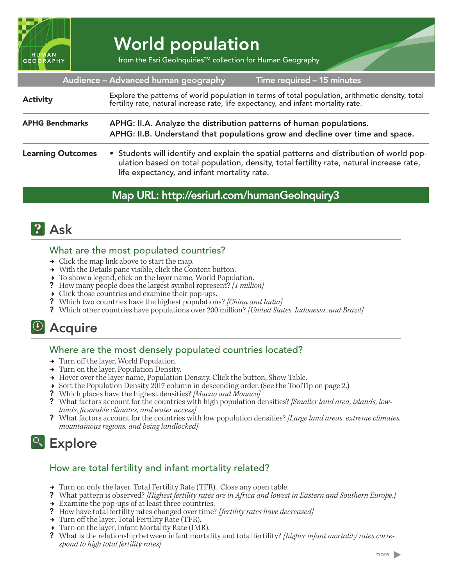

# World population

from the Esri GeoInquiries™ collection for Human Geography

| Audience - Advanced human geography<br>Time required - 15 minutes |                                                                                                                                                                                                                                     |
|-------------------------------------------------------------------|-------------------------------------------------------------------------------------------------------------------------------------------------------------------------------------------------------------------------------------|
| <b>Activity</b>                                                   | Explore the patterns of world population in terms of total population, arithmetic density, total<br>fertility rate, natural increase rate, life expectancy, and infant mortality rate.                                              |
| <b>APHG Benchmarks</b>                                            | APHG: II.A. Analyze the distribution patterns of human populations.<br>APHG: II.B. Understand that populations grow and decline over time and space.                                                                                |
| <b>Learning Outcomes</b>                                          | • Students will identify and explain the spatial patterns and distribution of world pop-<br>ulation based on total population, density, total fertility rate, natural increase rate,<br>life expectancy, and infant mortality rate. |

### Map URL: http://esriurl.com/humanGeoInquiry3



### What are the most populated countries?

- $\rightarrow$  Click the map link above to start the map.
- → With the Details pane visible, click the Content button.
- $\rightarrow$  To show a legend, click on the layer name, World Population.
- ? How many people does the largest symbol represent? *[1 million]*
- $\rightarrow$  Click those countries and examine their pop-ups.
- ? Which two countries have the highest populations? *[China and India]*
- ? Which other countries have populations over 200 million? *[United States, Indonesia, and Brazil]*

# <sup>4</sup> Acquire

#### Where are the most densely populated countries located?

- $\rightarrow$  Turn off the layer, World Population.
- $\rightarrow$  Turn on the layer, Population Density.
- → Hover over the layer name, Population Density. Click the button, Show Table.
- $\rightarrow$  Sort the Population Density 2017 column in descending order. (See the ToolTip on page 2.)<br>2. Which places have the highest densities? *[Macao and Manaco]*
- ? Which places have the highest densities? *[Macao and Monaco]*
- ? What factors account for the countries with high population densities? *[Smaller land area, islands, low- lands, favorable climates, and water access]*
- ? What factors account for the countries with low population densities? *[Large land areas, extreme climates, mountainous regions, and being landlocked]*

### <sup>o</sup> Explore

#### How are total fertility and infant mortality related?

- $\rightarrow$  Turn on only the layer, Total Fertility Rate (TFR). Close any open table.
- ? What pattern is observed? *[Highest fertility rates are in Africa and lowest in Eastern and Southern Europe.]*
- ʅ Examine the pop-ups of at least three countries.
- ? How have total fertility rates changed over time? *[fertility rates have decreased]*
- → Turn off the layer, Total Fertility Rate (TFR).
- → Turn on the layer, Infant Mortality Rate (IMR).
- ? What is the relationship between infant mortality and total fertility? *[higher infant mortality rates correspond to high total fertility rates]*